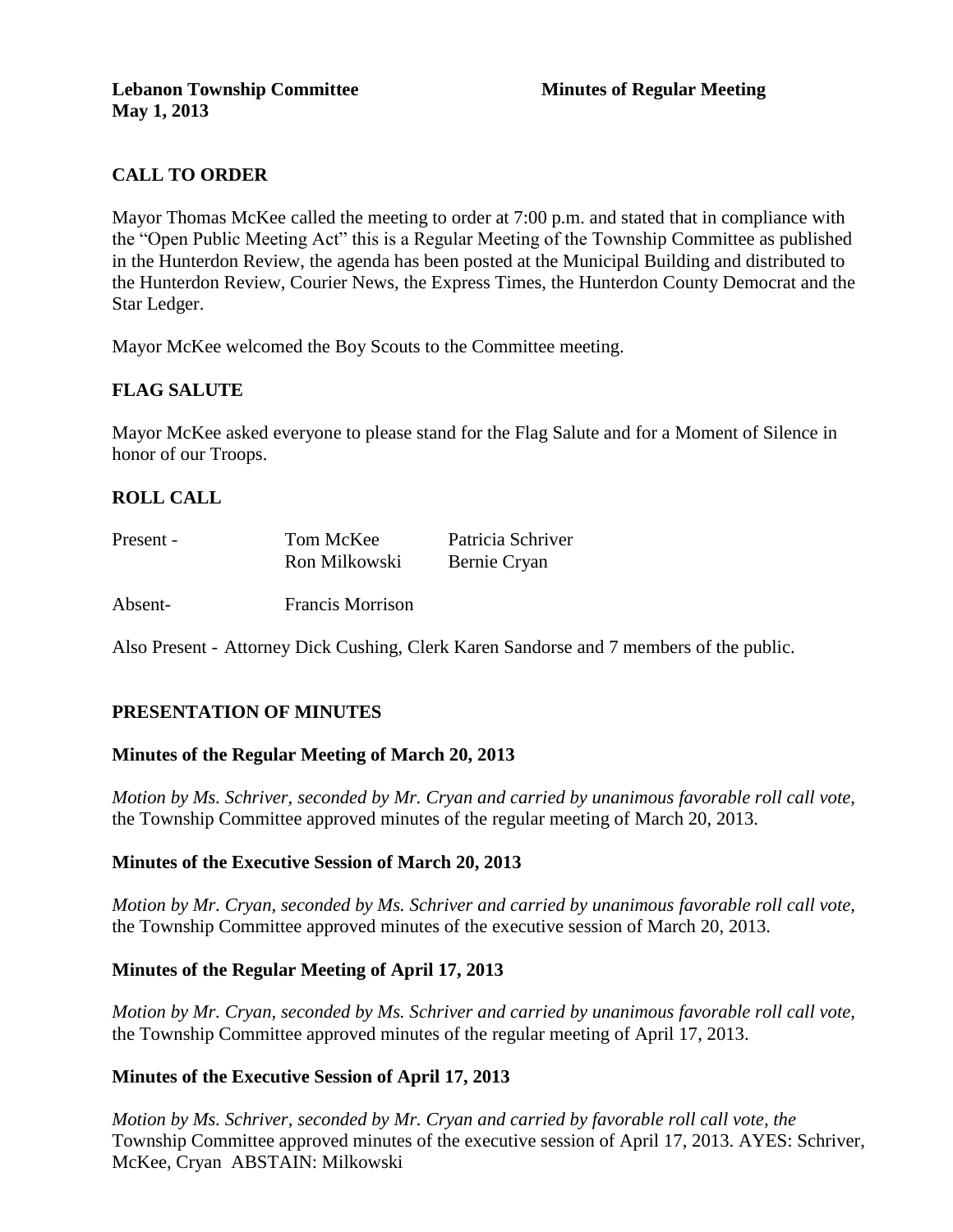# **CALL TO ORDER**

Mayor Thomas McKee called the meeting to order at 7:00 p.m. and stated that in compliance with the "Open Public Meeting Act" this is a Regular Meeting of the Township Committee as published in the Hunterdon Review, the agenda has been posted at the Municipal Building and distributed to the Hunterdon Review, Courier News, the Express Times, the Hunterdon County Democrat and the Star Ledger.

Mayor McKee welcomed the Boy Scouts to the Committee meeting.

## **FLAG SALUTE**

Mayor McKee asked everyone to please stand for the Flag Salute and for a Moment of Silence in honor of our Troops.

## **ROLL CALL**

| Present - | Tom McKee     | Patricia Schriver |
|-----------|---------------|-------------------|
|           | Ron Milkowski | Bernie Cryan      |

Absent- Francis Morrison

Also Present - Attorney Dick Cushing, Clerk Karen Sandorse and 7 members of the public.

## **PRESENTATION OF MINUTES**

### **Minutes of the Regular Meeting of March 20, 2013**

*Motion by Ms. Schriver, seconded by Mr. Cryan and carried by unanimous favorable roll call vote,* the Township Committee approved minutes of the regular meeting of March 20, 2013.

### **Minutes of the Executive Session of March 20, 2013**

*Motion by Mr. Cryan, seconded by Ms. Schriver and carried by unanimous favorable roll call vote,*  the Township Committee approved minutes of the executive session of March 20, 2013.

### **Minutes of the Regular Meeting of April 17, 2013**

*Motion by Mr. Cryan, seconded by Ms. Schriver and carried by unanimous favorable roll call vote,* the Township Committee approved minutes of the regular meeting of April 17, 2013.

### **Minutes of the Executive Session of April 17, 2013**

*Motion by Ms. Schriver, seconded by Mr. Cryan and carried by favorable roll call vote, the* Township Committee approved minutes of the executive session of April 17, 2013. AYES: Schriver, McKee, Cryan ABSTAIN: Milkowski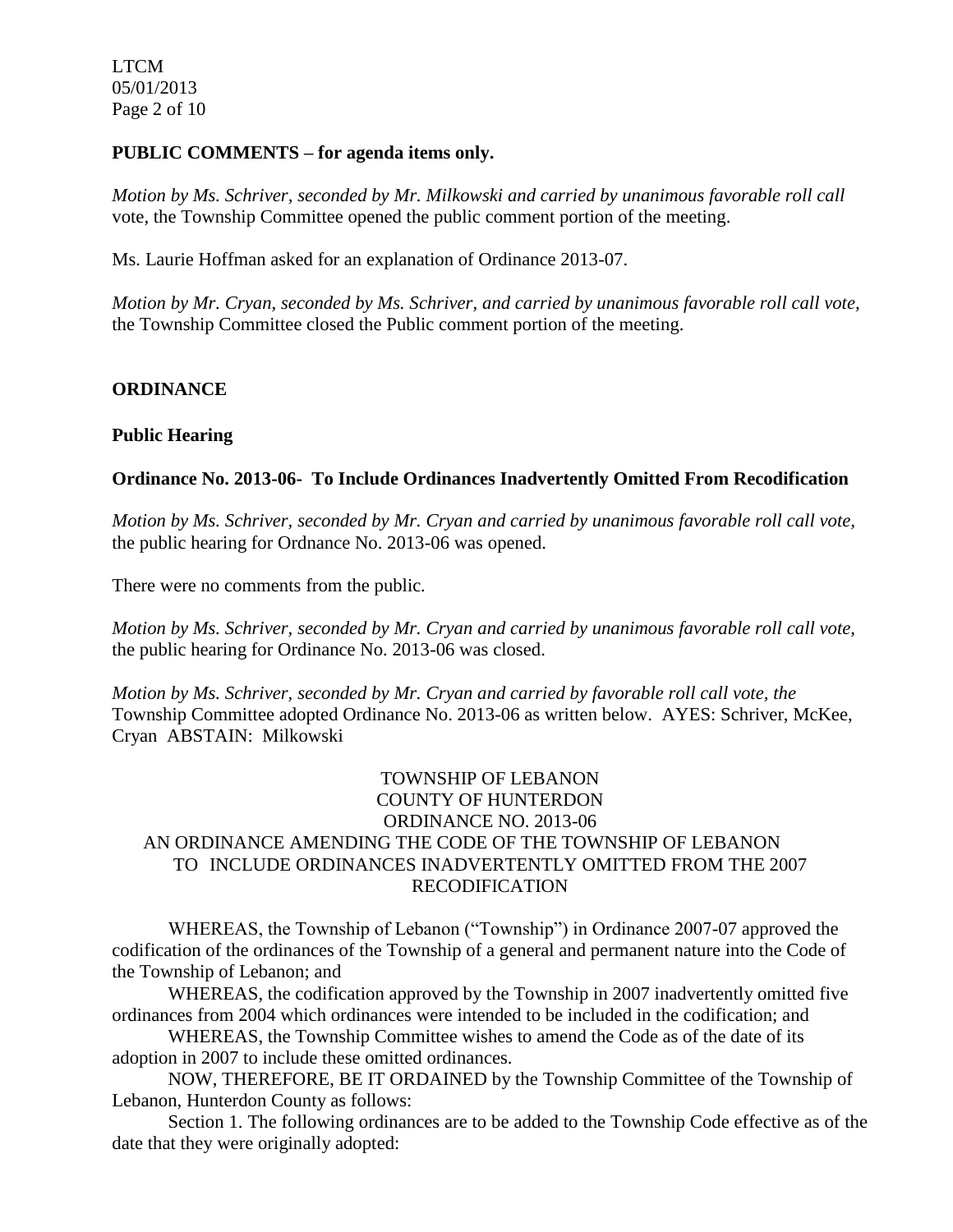LTCM 05/01/2013 Page 2 of 10

#### **PUBLIC COMMENTS – for agenda items only.**

*Motion by Ms. Schriver, seconded by Mr. Milkowski and carried by unanimous favorable roll call*  vote, the Township Committee opened the public comment portion of the meeting.

Ms. Laurie Hoffman asked for an explanation of Ordinance 2013-07.

*Motion by Mr. Cryan, seconded by Ms. Schriver, and carried by unanimous favorable roll call vote,* the Township Committee closed the Public comment portion of the meeting.

### **ORDINANCE**

### **Public Hearing**

### **Ordinance No. 2013-06- To Include Ordinances Inadvertently Omitted From Recodification**

*Motion by Ms. Schriver, seconded by Mr. Cryan and carried by unanimous favorable roll call vote,* the public hearing for Ordnance No. 2013-06 was opened.

There were no comments from the public*.*

*Motion by Ms. Schriver, seconded by Mr. Cryan and carried by unanimous favorable roll call vote,* the public hearing for Ordinance No. 2013-06 was closed.

*Motion by Ms. Schriver, seconded by Mr. Cryan and carried by favorable roll call vote, the* Township Committee adopted Ordinance No. 2013-06 as written below. AYES: Schriver, McKee, Cryan ABSTAIN: Milkowski

## TOWNSHIP OF LEBANON COUNTY OF HUNTERDON ORDINANCE NO. 2013-06 AN ORDINANCE AMENDING THE CODE OF THE TOWNSHIP OF LEBANON TO INCLUDE ORDINANCES INADVERTENTLY OMITTED FROM THE 2007 RECODIFICATION

WHEREAS, the Township of Lebanon ("Township") in Ordinance 2007-07 approved the codification of the ordinances of the Township of a general and permanent nature into the Code of the Township of Lebanon; and

WHEREAS, the codification approved by the Township in 2007 inadvertently omitted five ordinances from 2004 which ordinances were intended to be included in the codification; and

WHEREAS, the Township Committee wishes to amend the Code as of the date of its adoption in 2007 to include these omitted ordinances.

NOW, THEREFORE, BE IT ORDAINED by the Township Committee of the Township of Lebanon, Hunterdon County as follows:

Section 1. The following ordinances are to be added to the Township Code effective as of the date that they were originally adopted: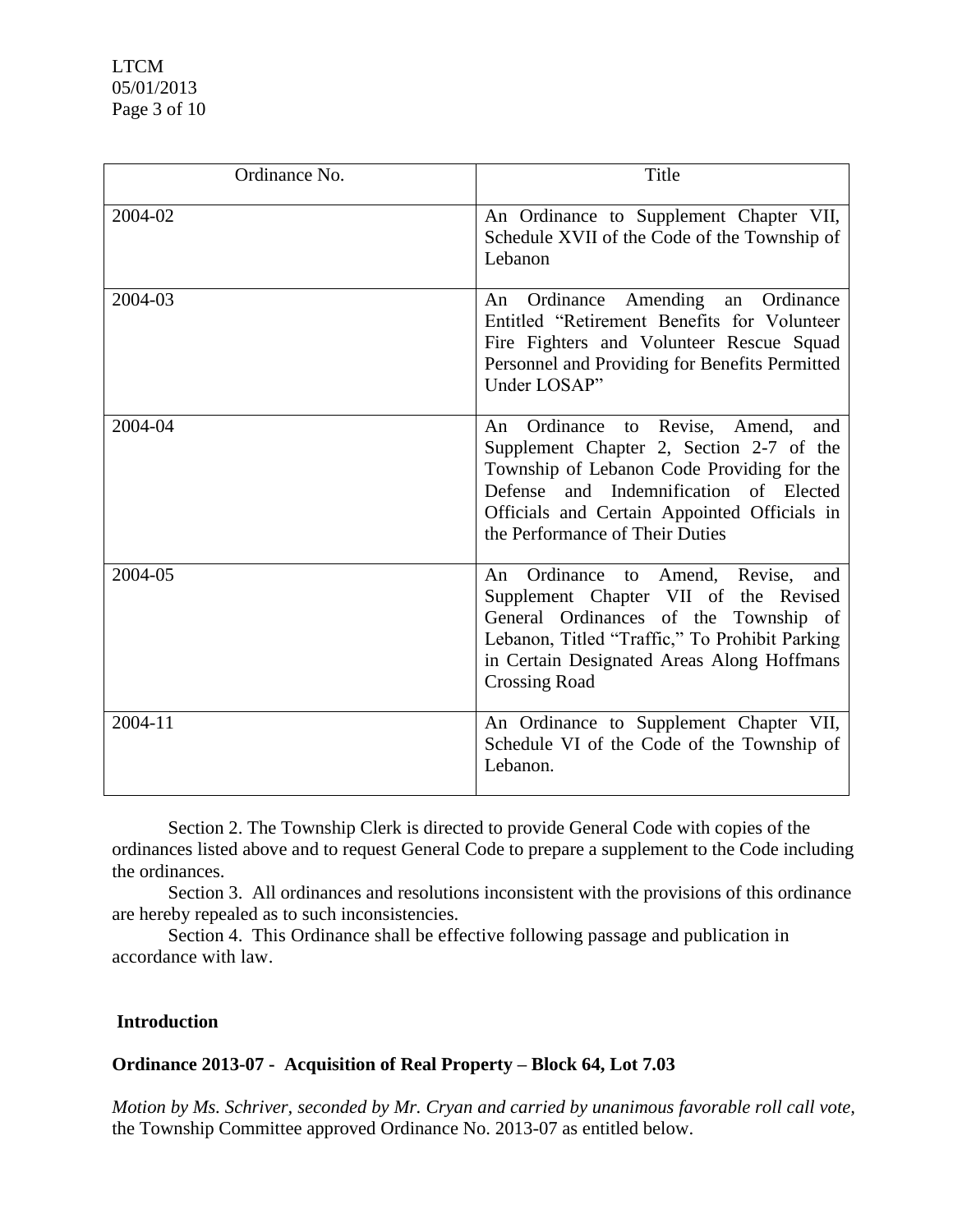LTCM 05/01/2013 Page 3 of 10

| Ordinance No. | Title                                                                                                                                                                                                                                                           |
|---------------|-----------------------------------------------------------------------------------------------------------------------------------------------------------------------------------------------------------------------------------------------------------------|
| 2004-02       | An Ordinance to Supplement Chapter VII,<br>Schedule XVII of the Code of the Township of<br>Lebanon                                                                                                                                                              |
| 2004-03       | Ordinance Amending an Ordinance<br>An<br>Entitled "Retirement Benefits for Volunteer<br>Fire Fighters and Volunteer Rescue Squad<br>Personnel and Providing for Benefits Permitted<br>Under LOSAP"                                                              |
| 2004-04       | Ordinance to Revise, Amend,<br>An<br>and<br>Supplement Chapter 2, Section 2-7 of the<br>Township of Lebanon Code Providing for the<br>Defense and Indemnification of Elected<br>Officials and Certain Appointed Officials in<br>the Performance of Their Duties |
| 2004-05       | Ordinance to Amend, Revise,<br>An<br>and<br>Supplement Chapter VII of the Revised<br>General Ordinances of the Township of<br>Lebanon, Titled "Traffic," To Prohibit Parking<br>in Certain Designated Areas Along Hoffmans<br><b>Crossing Road</b>              |
| 2004-11       | An Ordinance to Supplement Chapter VII,<br>Schedule VI of the Code of the Township of<br>Lebanon.                                                                                                                                                               |

Section 2. The Township Clerk is directed to provide General Code with copies of the ordinances listed above and to request General Code to prepare a supplement to the Code including the ordinances.

Section 3. All ordinances and resolutions inconsistent with the provisions of this ordinance are hereby repealed as to such inconsistencies.

Section 4. This Ordinance shall be effective following passage and publication in accordance with law.

### **Introduction**

### **Ordinance 2013-07 - Acquisition of Real Property – Block 64, Lot 7.03**

*Motion by Ms. Schriver, seconded by Mr. Cryan and carried by unanimous favorable roll call vote,* the Township Committee approved Ordinance No. 2013-07 as entitled below.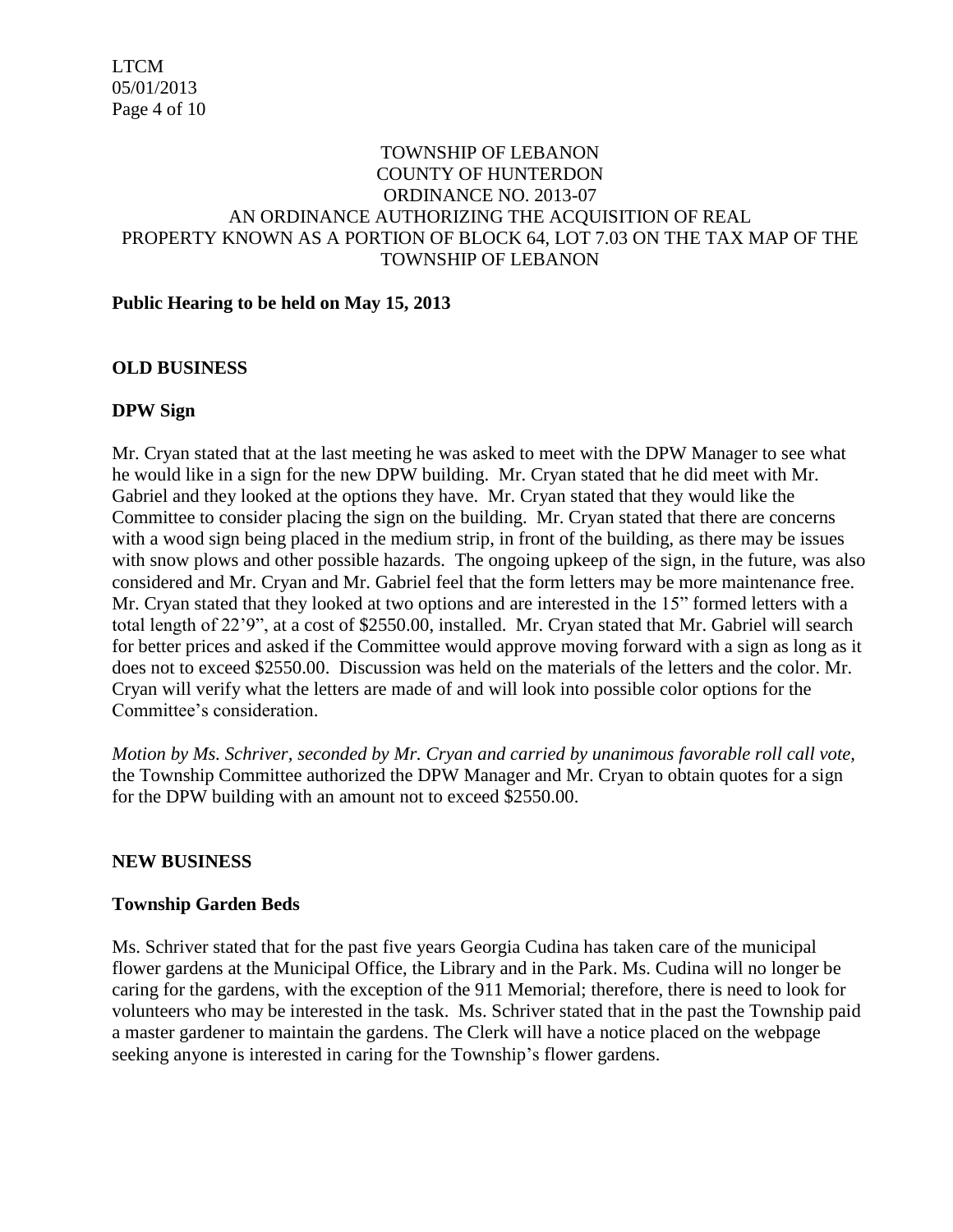### TOWNSHIP OF LEBANON COUNTY OF HUNTERDON ORDINANCE NO. 2013-07 AN ORDINANCE AUTHORIZING THE ACQUISITION OF REAL PROPERTY KNOWN AS A PORTION OF BLOCK 64, LOT 7.03 ON THE TAX MAP OF THE TOWNSHIP OF LEBANON

### **Public Hearing to be held on May 15, 2013**

### **OLD BUSINESS**

## **DPW Sign**

Mr. Cryan stated that at the last meeting he was asked to meet with the DPW Manager to see what he would like in a sign for the new DPW building. Mr. Cryan stated that he did meet with Mr. Gabriel and they looked at the options they have. Mr. Cryan stated that they would like the Committee to consider placing the sign on the building. Mr. Cryan stated that there are concerns with a wood sign being placed in the medium strip, in front of the building, as there may be issues with snow plows and other possible hazards. The ongoing upkeep of the sign, in the future, was also considered and Mr. Cryan and Mr. Gabriel feel that the form letters may be more maintenance free. Mr. Cryan stated that they looked at two options and are interested in the 15" formed letters with a total length of 22'9", at a cost of \$2550.00, installed. Mr. Cryan stated that Mr. Gabriel will search for better prices and asked if the Committee would approve moving forward with a sign as long as it does not to exceed \$2550.00. Discussion was held on the materials of the letters and the color. Mr. Cryan will verify what the letters are made of and will look into possible color options for the Committee's consideration.

*Motion by Ms. Schriver, seconded by Mr. Cryan and carried by unanimous favorable roll call vote,* the Township Committee authorized the DPW Manager and Mr. Cryan to obtain quotes for a sign for the DPW building with an amount not to exceed \$2550.00.

### **NEW BUSINESS**

### **Township Garden Beds**

Ms. Schriver stated that for the past five years Georgia Cudina has taken care of the municipal flower gardens at the Municipal Office, the Library and in the Park. Ms. Cudina will no longer be caring for the gardens, with the exception of the 911 Memorial; therefore, there is need to look for volunteers who may be interested in the task. Ms. Schriver stated that in the past the Township paid a master gardener to maintain the gardens. The Clerk will have a notice placed on the webpage seeking anyone is interested in caring for the Township's flower gardens.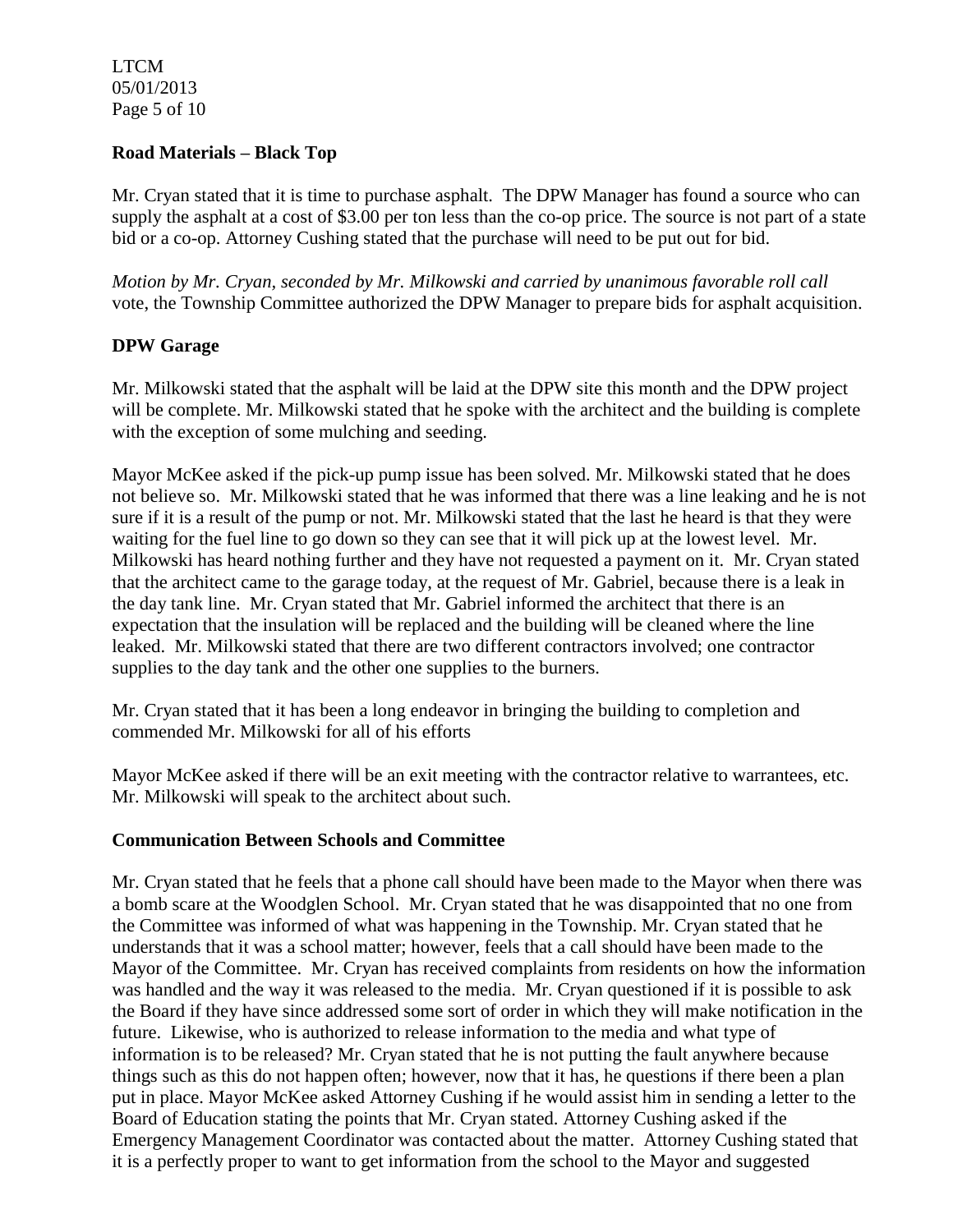LTCM 05/01/2013 Page 5 of 10

### **Road Materials – Black Top**

Mr. Cryan stated that it is time to purchase asphalt. The DPW Manager has found a source who can supply the asphalt at a cost of \$3.00 per ton less than the co-op price. The source is not part of a state bid or a co-op. Attorney Cushing stated that the purchase will need to be put out for bid.

*Motion by Mr. Cryan, seconded by Mr. Milkowski and carried by unanimous favorable roll call*  vote, the Township Committee authorized the DPW Manager to prepare bids for asphalt acquisition.

### **DPW Garage**

Mr. Milkowski stated that the asphalt will be laid at the DPW site this month and the DPW project will be complete. Mr. Milkowski stated that he spoke with the architect and the building is complete with the exception of some mulching and seeding.

Mayor McKee asked if the pick-up pump issue has been solved. Mr. Milkowski stated that he does not believe so. Mr. Milkowski stated that he was informed that there was a line leaking and he is not sure if it is a result of the pump or not. Mr. Milkowski stated that the last he heard is that they were waiting for the fuel line to go down so they can see that it will pick up at the lowest level. Mr. Milkowski has heard nothing further and they have not requested a payment on it. Mr. Cryan stated that the architect came to the garage today, at the request of Mr. Gabriel, because there is a leak in the day tank line. Mr. Cryan stated that Mr. Gabriel informed the architect that there is an expectation that the insulation will be replaced and the building will be cleaned where the line leaked. Mr. Milkowski stated that there are two different contractors involved; one contractor supplies to the day tank and the other one supplies to the burners.

Mr. Cryan stated that it has been a long endeavor in bringing the building to completion and commended Mr. Milkowski for all of his efforts

Mayor McKee asked if there will be an exit meeting with the contractor relative to warrantees, etc. Mr. Milkowski will speak to the architect about such.

### **Communication Between Schools and Committee**

Mr. Cryan stated that he feels that a phone call should have been made to the Mayor when there was a bomb scare at the Woodglen School. Mr. Cryan stated that he was disappointed that no one from the Committee was informed of what was happening in the Township. Mr. Cryan stated that he understands that it was a school matter; however, feels that a call should have been made to the Mayor of the Committee. Mr. Cryan has received complaints from residents on how the information was handled and the way it was released to the media. Mr. Cryan questioned if it is possible to ask the Board if they have since addressed some sort of order in which they will make notification in the future. Likewise, who is authorized to release information to the media and what type of information is to be released? Mr. Cryan stated that he is not putting the fault anywhere because things such as this do not happen often; however, now that it has, he questions if there been a plan put in place. Mayor McKee asked Attorney Cushing if he would assist him in sending a letter to the Board of Education stating the points that Mr. Cryan stated. Attorney Cushing asked if the Emergency Management Coordinator was contacted about the matter. Attorney Cushing stated that it is a perfectly proper to want to get information from the school to the Mayor and suggested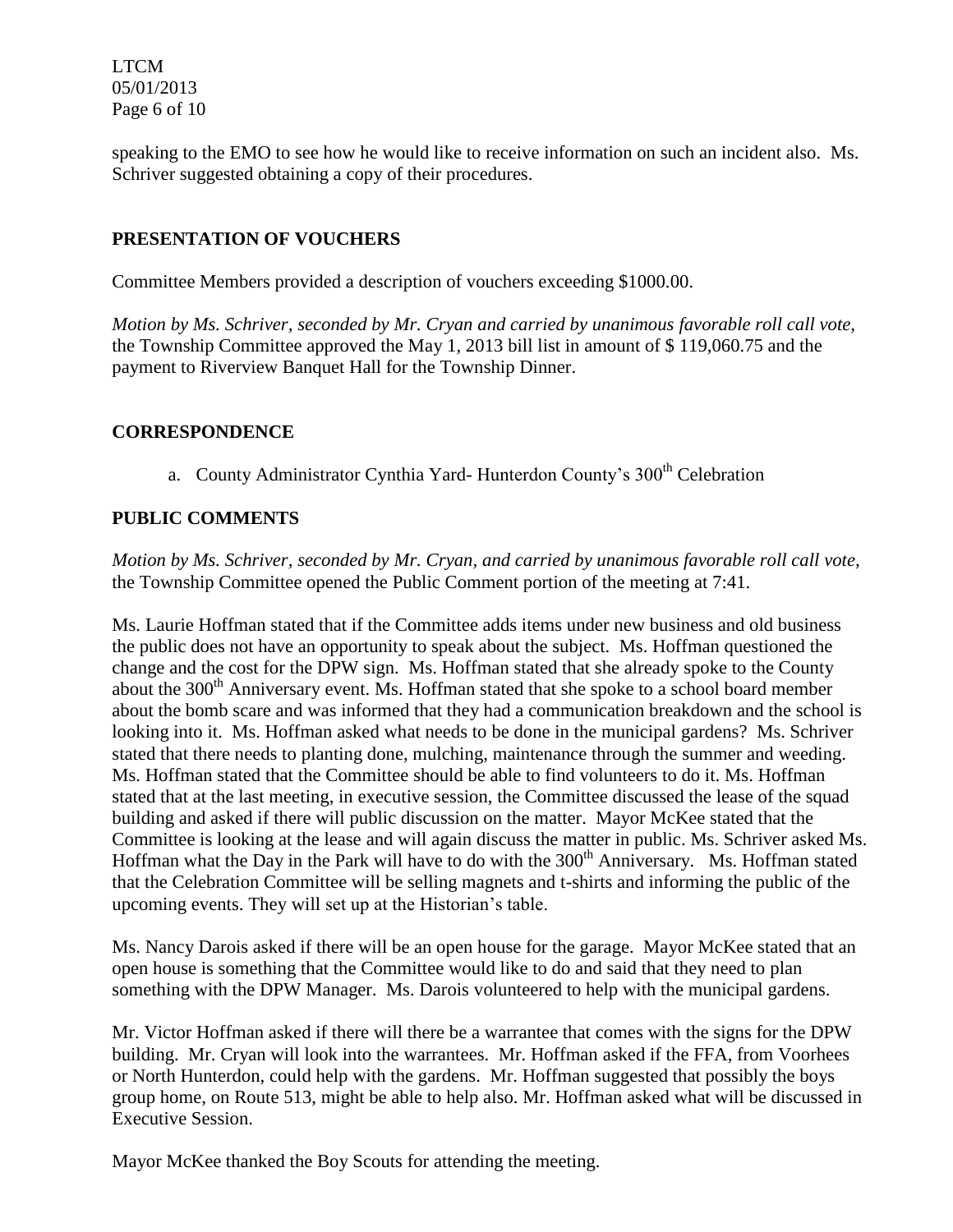LTCM 05/01/2013 Page 6 of 10

speaking to the EMO to see how he would like to receive information on such an incident also. Ms. Schriver suggested obtaining a copy of their procedures.

## **PRESENTATION OF VOUCHERS**

Committee Members provided a description of vouchers exceeding \$1000.00.

*Motion by Ms. Schriver, seconded by Mr. Cryan and carried by unanimous favorable roll call vote,*  the Township Committee approved the May 1, 2013 bill list in amount of \$ 119,060.75 and the payment to Riverview Banquet Hall for the Township Dinner.

### **CORRESPONDENCE**

a. County Administrator Cynthia Yard- Hunterdon County's 300<sup>th</sup> Celebration

## **PUBLIC COMMENTS**

*Motion by Ms. Schriver, seconded by Mr. Cryan, and carried by unanimous favorable roll call vote,* the Township Committee opened the Public Comment portion of the meeting at 7:41.

Ms. Laurie Hoffman stated that if the Committee adds items under new business and old business the public does not have an opportunity to speak about the subject. Ms. Hoffman questioned the change and the cost for the DPW sign. Ms. Hoffman stated that she already spoke to the County about the 300<sup>th</sup> Anniversary event. Ms. Hoffman stated that she spoke to a school board member about the bomb scare and was informed that they had a communication breakdown and the school is looking into it. Ms. Hoffman asked what needs to be done in the municipal gardens? Ms. Schriver stated that there needs to planting done, mulching, maintenance through the summer and weeding. Ms. Hoffman stated that the Committee should be able to find volunteers to do it. Ms. Hoffman stated that at the last meeting, in executive session, the Committee discussed the lease of the squad building and asked if there will public discussion on the matter. Mayor McKee stated that the Committee is looking at the lease and will again discuss the matter in public. Ms. Schriver asked Ms. Hoffman what the Day in the Park will have to do with the 300<sup>th</sup> Anniversary. Ms. Hoffman stated that the Celebration Committee will be selling magnets and t-shirts and informing the public of the upcoming events. They will set up at the Historian's table.

Ms. Nancy Darois asked if there will be an open house for the garage. Mayor McKee stated that an open house is something that the Committee would like to do and said that they need to plan something with the DPW Manager. Ms. Darois volunteered to help with the municipal gardens.

Mr. Victor Hoffman asked if there will there be a warrantee that comes with the signs for the DPW building. Mr. Cryan will look into the warrantees. Mr. Hoffman asked if the FFA, from Voorhees or North Hunterdon, could help with the gardens. Mr. Hoffman suggested that possibly the boys group home, on Route 513, might be able to help also. Mr. Hoffman asked what will be discussed in Executive Session.

Mayor McKee thanked the Boy Scouts for attending the meeting.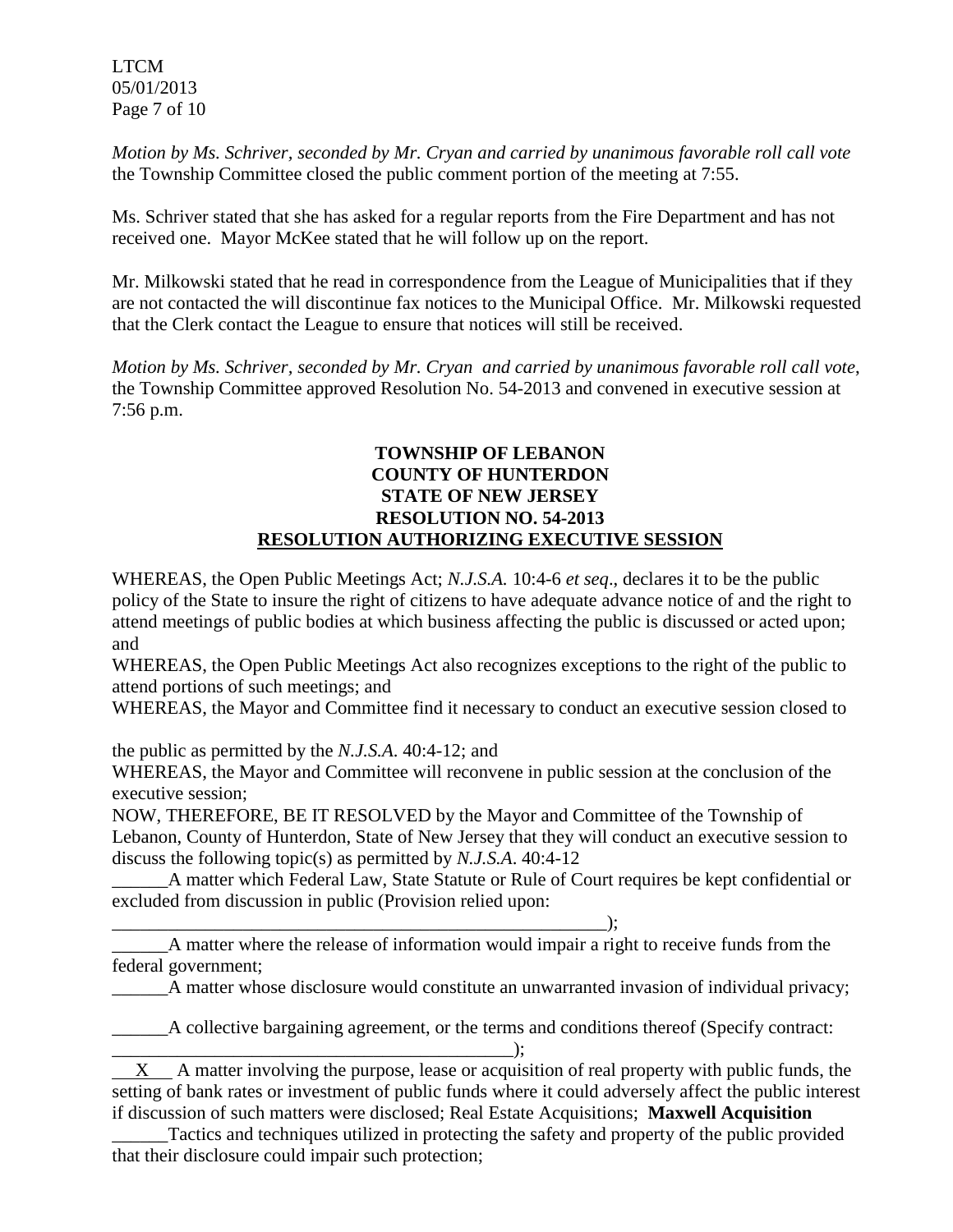LTCM 05/01/2013 Page 7 of 10

*Motion by Ms. Schriver, seconded by Mr. Cryan and carried by unanimous favorable roll call vote* the Township Committee closed the public comment portion of the meeting at 7:55.

Ms. Schriver stated that she has asked for a regular reports from the Fire Department and has not received one. Mayor McKee stated that he will follow up on the report.

Mr. Milkowski stated that he read in correspondence from the League of Municipalities that if they are not contacted the will discontinue fax notices to the Municipal Office. Mr. Milkowski requested that the Clerk contact the League to ensure that notices will still be received.

*Motion by Ms. Schriver, seconded by Mr. Cryan and carried by unanimous favorable roll call vote*, the Township Committee approved Resolution No. 54-2013 and convened in executive session at 7:56 p.m.

### **TOWNSHIP OF LEBANON COUNTY OF HUNTERDON STATE OF NEW JERSEY RESOLUTION NO. 54-2013 RESOLUTION AUTHORIZING EXECUTIVE SESSION**

WHEREAS, the Open Public Meetings Act; *N.J.S.A.* 10:4-6 *et seq*., declares it to be the public policy of the State to insure the right of citizens to have adequate advance notice of and the right to attend meetings of public bodies at which business affecting the public is discussed or acted upon; and

WHEREAS, the Open Public Meetings Act also recognizes exceptions to the right of the public to attend portions of such meetings; and

WHEREAS, the Mayor and Committee find it necessary to conduct an executive session closed to

the public as permitted by the *N.J.S.A*. 40:4-12; and

\_\_\_\_\_\_\_\_\_\_\_\_\_\_\_\_\_\_\_\_\_\_\_\_\_\_\_\_\_\_\_\_\_\_\_\_\_\_\_\_\_\_\_\_\_\_\_\_\_\_\_\_\_);

WHEREAS, the Mayor and Committee will reconvene in public session at the conclusion of the executive session;

NOW, THEREFORE, BE IT RESOLVED by the Mayor and Committee of the Township of Lebanon, County of Hunterdon, State of New Jersey that they will conduct an executive session to discuss the following topic(s) as permitted by *N.J.S.A*. 40:4-12

\_\_\_\_\_\_A matter which Federal Law, State Statute or Rule of Court requires be kept confidential or excluded from discussion in public (Provision relied upon:

\_\_\_\_\_\_A matter where the release of information would impair a right to receive funds from the federal government;

A matter whose disclosure would constitute an unwarranted invasion of individual privacy;

\_\_\_\_\_\_A collective bargaining agreement, or the terms and conditions thereof (Specify contract:  $\Box$ );

 X A matter involving the purpose, lease or acquisition of real property with public funds, the setting of bank rates or investment of public funds where it could adversely affect the public interest if discussion of such matters were disclosed; Real Estate Acquisitions; **Maxwell Acquisition**

Tactics and techniques utilized in protecting the safety and property of the public provided that their disclosure could impair such protection;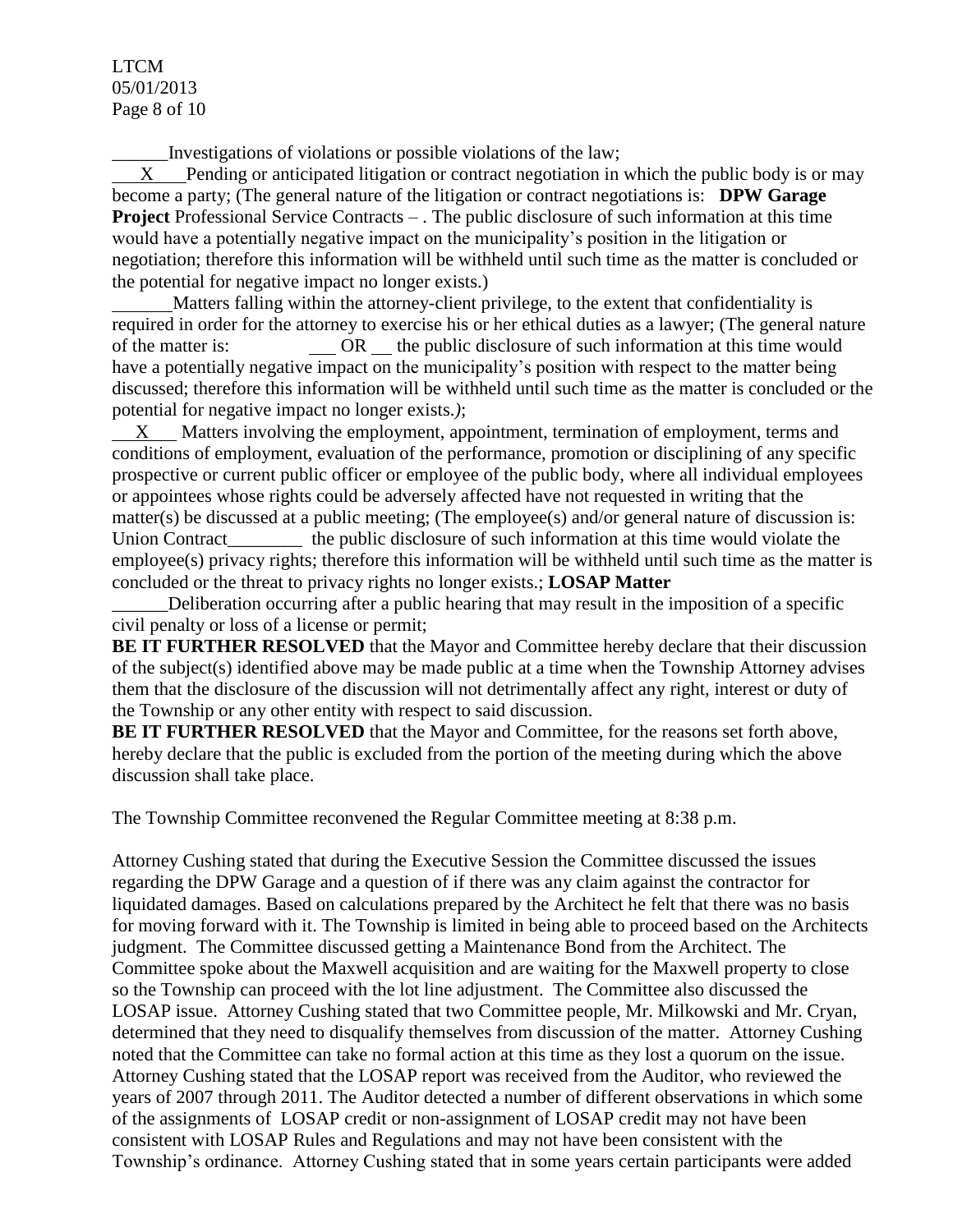LTCM 05/01/2013 Page 8 of 10

\_\_\_\_\_\_Investigations of violations or possible violations of the law;

 X Pending or anticipated litigation or contract negotiation in which the public body is or may become a party; (The general nature of the litigation or contract negotiations is: **DPW Garage Project** Professional Service Contracts – . The public disclosure of such information at this time would have a potentially negative impact on the municipality's position in the litigation or negotiation; therefore this information will be withheld until such time as the matter is concluded or the potential for negative impact no longer exists.)

 Matters falling within the attorney-client privilege, to the extent that confidentiality is required in order for the attorney to exercise his or her ethical duties as a lawyer; (The general nature of the matter is:  $OR$  the public disclosure of such information at this time would have a potentially negative impact on the municipality's position with respect to the matter being discussed; therefore this information will be withheld until such time as the matter is concluded or the potential for negative impact no longer exists.*)*;

 X Matters involving the employment, appointment, termination of employment, terms and conditions of employment, evaluation of the performance, promotion or disciplining of any specific prospective or current public officer or employee of the public body, where all individual employees or appointees whose rights could be adversely affected have not requested in writing that the matter(s) be discussed at a public meeting; (The employee(s) and/or general nature of discussion is: Union Contract\_\_\_\_\_\_\_\_\_ the public disclosure of such information at this time would violate the employee(s) privacy rights; therefore this information will be withheld until such time as the matter is concluded or the threat to privacy rights no longer exists.; **LOSAP Matter**

\_\_\_\_\_\_Deliberation occurring after a public hearing that may result in the imposition of a specific civil penalty or loss of a license or permit;

**BE IT FURTHER RESOLVED** that the Mayor and Committee hereby declare that their discussion of the subject(s) identified above may be made public at a time when the Township Attorney advises them that the disclosure of the discussion will not detrimentally affect any right, interest or duty of the Township or any other entity with respect to said discussion.

**BE IT FURTHER RESOLVED** that the Mayor and Committee, for the reasons set forth above, hereby declare that the public is excluded from the portion of the meeting during which the above discussion shall take place.

The Township Committee reconvened the Regular Committee meeting at 8:38 p.m.

Attorney Cushing stated that during the Executive Session the Committee discussed the issues regarding the DPW Garage and a question of if there was any claim against the contractor for liquidated damages. Based on calculations prepared by the Architect he felt that there was no basis for moving forward with it. The Township is limited in being able to proceed based on the Architects judgment. The Committee discussed getting a Maintenance Bond from the Architect. The Committee spoke about the Maxwell acquisition and are waiting for the Maxwell property to close so the Township can proceed with the lot line adjustment. The Committee also discussed the LOSAP issue. Attorney Cushing stated that two Committee people, Mr. Milkowski and Mr. Cryan, determined that they need to disqualify themselves from discussion of the matter. Attorney Cushing noted that the Committee can take no formal action at this time as they lost a quorum on the issue. Attorney Cushing stated that the LOSAP report was received from the Auditor, who reviewed the years of 2007 through 2011. The Auditor detected a number of different observations in which some of the assignments of LOSAP credit or non-assignment of LOSAP credit may not have been consistent with LOSAP Rules and Regulations and may not have been consistent with the Township's ordinance. Attorney Cushing stated that in some years certain participants were added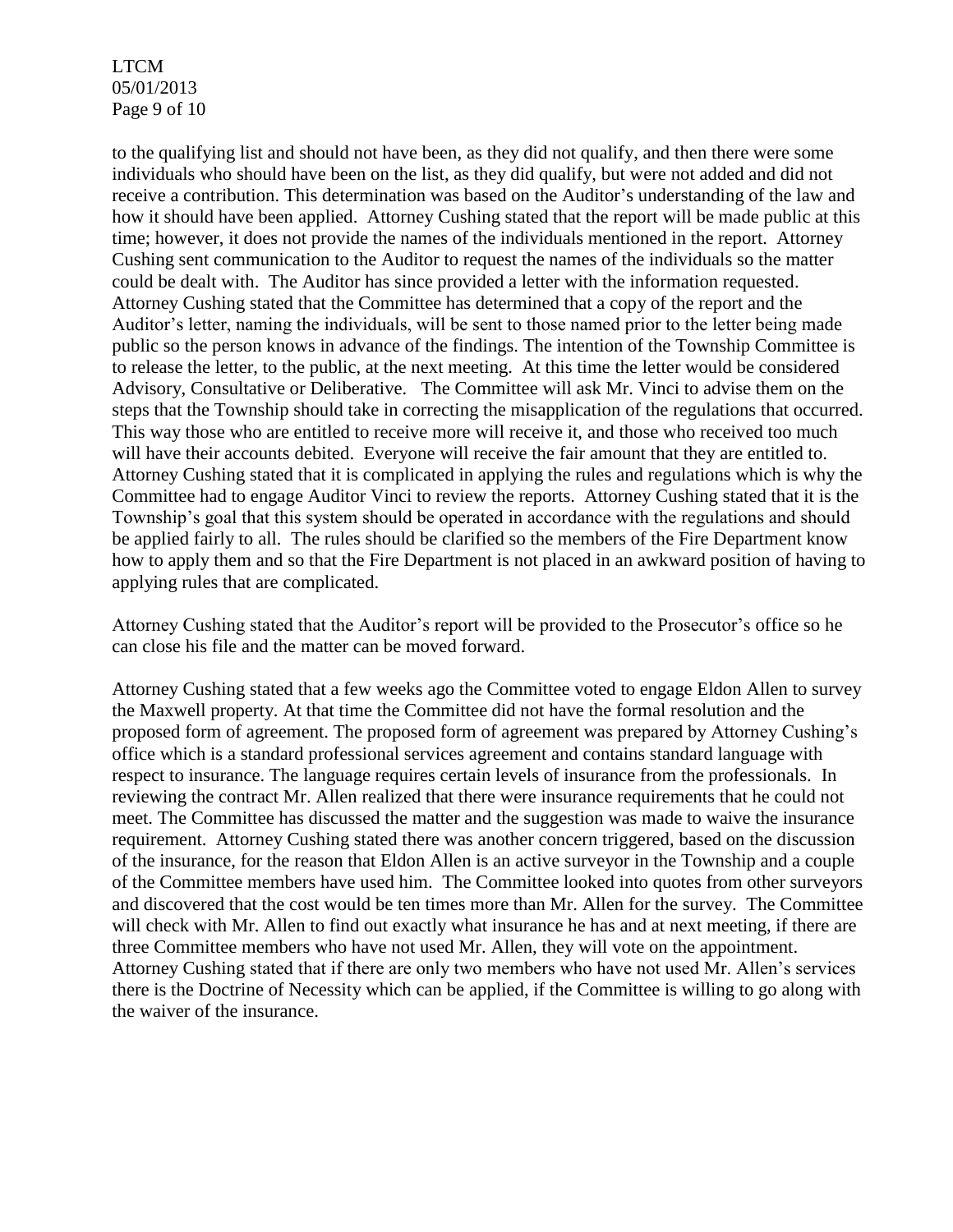LTCM 05/01/2013 Page 9 of 10

to the qualifying list and should not have been, as they did not qualify, and then there were some individuals who should have been on the list, as they did qualify, but were not added and did not receive a contribution. This determination was based on the Auditor's understanding of the law and how it should have been applied. Attorney Cushing stated that the report will be made public at this time; however, it does not provide the names of the individuals mentioned in the report. Attorney Cushing sent communication to the Auditor to request the names of the individuals so the matter could be dealt with. The Auditor has since provided a letter with the information requested. Attorney Cushing stated that the Committee has determined that a copy of the report and the Auditor's letter, naming the individuals, will be sent to those named prior to the letter being made public so the person knows in advance of the findings. The intention of the Township Committee is to release the letter, to the public, at the next meeting. At this time the letter would be considered Advisory, Consultative or Deliberative. The Committee will ask Mr. Vinci to advise them on the steps that the Township should take in correcting the misapplication of the regulations that occurred. This way those who are entitled to receive more will receive it, and those who received too much will have their accounts debited. Everyone will receive the fair amount that they are entitled to. Attorney Cushing stated that it is complicated in applying the rules and regulations which is why the Committee had to engage Auditor Vinci to review the reports. Attorney Cushing stated that it is the Township's goal that this system should be operated in accordance with the regulations and should be applied fairly to all. The rules should be clarified so the members of the Fire Department know how to apply them and so that the Fire Department is not placed in an awkward position of having to applying rules that are complicated.

Attorney Cushing stated that the Auditor's report will be provided to the Prosecutor's office so he can close his file and the matter can be moved forward.

Attorney Cushing stated that a few weeks ago the Committee voted to engage Eldon Allen to survey the Maxwell property. At that time the Committee did not have the formal resolution and the proposed form of agreement. The proposed form of agreement was prepared by Attorney Cushing's office which is a standard professional services agreement and contains standard language with respect to insurance. The language requires certain levels of insurance from the professionals. In reviewing the contract Mr. Allen realized that there were insurance requirements that he could not meet. The Committee has discussed the matter and the suggestion was made to waive the insurance requirement. Attorney Cushing stated there was another concern triggered, based on the discussion of the insurance, for the reason that Eldon Allen is an active surveyor in the Township and a couple of the Committee members have used him. The Committee looked into quotes from other surveyors and discovered that the cost would be ten times more than Mr. Allen for the survey. The Committee will check with Mr. Allen to find out exactly what insurance he has and at next meeting, if there are three Committee members who have not used Mr. Allen, they will vote on the appointment. Attorney Cushing stated that if there are only two members who have not used Mr. Allen's services there is the Doctrine of Necessity which can be applied, if the Committee is willing to go along with the waiver of the insurance.